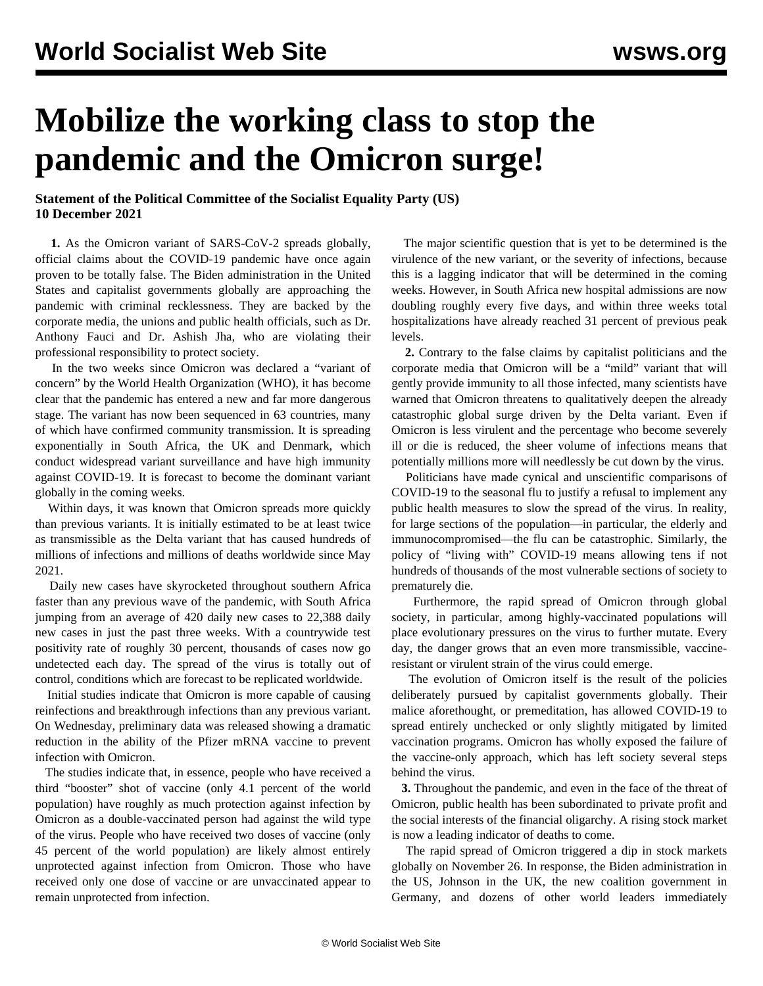## **Mobilize the working class to stop the pandemic and the Omicron surge!**

## **Statement of the Political Committee of the Socialist Equality Party (US) 10 December 2021**

 **1.** As the Omicron variant of SARS-CoV-2 spreads globally, official claims about the COVID-19 pandemic have once again proven to be totally false. The Biden administration in the United States and capitalist governments globally are approaching the pandemic with criminal recklessness. They are backed by the corporate media, the unions and public health officials, such as Dr. Anthony Fauci and Dr. Ashish Jha, who are violating their professional responsibility to protect society.

 In the two weeks since Omicron was declared a "variant of concern" by the World Health Organization (WHO), it has become clear that the pandemic has entered a new and far more dangerous stage. The variant has now been sequenced in 63 countries, many of which have confirmed community transmission. It is spreading exponentially in South Africa, the UK and Denmark, which conduct widespread variant surveillance and have high immunity against COVID-19. It is forecast to become the dominant variant globally in the coming weeks.

 Within days, it was known that Omicron spreads more quickly than previous variants. It is initially estimated to be at least twice as transmissible as the Delta variant that has caused hundreds of millions of infections and millions of deaths worldwide since May 2021.

 Daily new cases have skyrocketed throughout southern Africa faster than any previous wave of the pandemic, with South Africa jumping from an average of 420 daily new cases to 22,388 daily new cases in just the past three weeks. With a countrywide test positivity rate of roughly 30 percent, thousands of cases now go undetected each day. The spread of the virus is totally out of control, conditions which are forecast to be replicated worldwide.

 Initial studies indicate that Omicron is more capable of causing reinfections and breakthrough infections than any previous variant. On Wednesday, preliminary data was released showing a dramatic reduction in the ability of the Pfizer mRNA vaccine to prevent infection with Omicron.

 The studies indicate that, in essence, people who have received a third "booster" shot of vaccine (only 4.1 percent of the world population) have roughly as much protection against infection by Omicron as a double-vaccinated person had against the wild type of the virus. People who have received two doses of vaccine (only 45 percent of the world population) are likely almost entirely unprotected against infection from Omicron. Those who have received only one dose of vaccine or are unvaccinated appear to remain unprotected from infection.

 The major scientific question that is yet to be determined is the virulence of the new variant, or the severity of infections, because this is a lagging indicator that will be determined in the coming weeks. However, in South Africa new hospital admissions are now doubling roughly every five days, and within three weeks total hospitalizations have already reached 31 percent of previous peak levels.

 **2.** Contrary to the false claims by capitalist politicians and the corporate media that Omicron will be a "mild" variant that will gently provide immunity to all those infected, many scientists have warned that Omicron threatens to qualitatively deepen the already catastrophic global surge driven by the Delta variant. Even if Omicron is less virulent and the percentage who become severely ill or die is reduced, the sheer volume of infections means that potentially millions more will needlessly be cut down by the virus.

 Politicians have made cynical and unscientific comparisons of COVID-19 to the seasonal flu to justify a refusal to implement any public health measures to slow the spread of the virus. In reality, for large sections of the population—in particular, the elderly and immunocompromised—the flu can be catastrophic. Similarly, the policy of "living with" COVID-19 means allowing tens if not hundreds of thousands of the most vulnerable sections of society to prematurely die.

 Furthermore, the rapid spread of Omicron through global society, in particular, among highly-vaccinated populations will place evolutionary pressures on the virus to further mutate. Every day, the danger grows that an even more transmissible, vaccineresistant or virulent strain of the virus could emerge.

 The evolution of Omicron itself is the result of the policies deliberately pursued by capitalist governments globally. Their malice aforethought, or premeditation, has allowed COVID-19 to spread entirely unchecked or only slightly mitigated by limited vaccination programs. Omicron has wholly exposed the failure of the vaccine-only approach, which has left society several steps behind the virus.

 **3.** Throughout the pandemic, and even in the face of the threat of Omicron, public health has been subordinated to private profit and the social interests of the financial oligarchy. A rising stock market is now a leading indicator of deaths to come.

 The rapid spread of Omicron triggered a dip in stock markets globally on November 26. In response, the Biden administration in the US, Johnson in the UK, the new coalition government in Germany, and dozens of other world leaders immediately